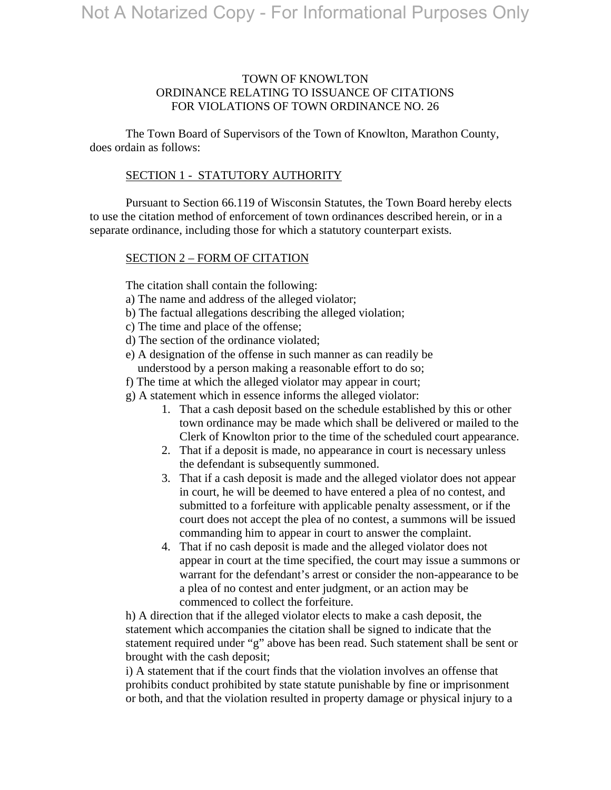## TOWN OF KNOWLTON ORDINANCE RELATING TO ISSUANCE OF CITATIONS FOR VIOLATIONS OF TOWN ORDINANCE NO. 26

 The Town Board of Supervisors of the Town of Knowlton, Marathon County, does ordain as follows:

### SECTION 1 - STATUTORY AUTHORITY

 Pursuant to Section 66.119 of Wisconsin Statutes, the Town Board hereby elects to use the citation method of enforcement of town ordinances described herein, or in a separate ordinance, including those for which a statutory counterpart exists.

### SECTION 2 – FORM OF CITATION

The citation shall contain the following:

- a) The name and address of the alleged violator;
- b) The factual allegations describing the alleged violation;
- c) The time and place of the offense;
- d) The section of the ordinance violated;
- e) A designation of the offense in such manner as can readily be understood by a person making a reasonable effort to do so;
- f) The time at which the alleged violator may appear in court;
- g) A statement which in essence informs the alleged violator:
	- 1. That a cash deposit based on the schedule established by this or other town ordinance may be made which shall be delivered or mailed to the Clerk of Knowlton prior to the time of the scheduled court appearance.
	- 2. That if a deposit is made, no appearance in court is necessary unless the defendant is subsequently summoned.
	- 3. That if a cash deposit is made and the alleged violator does not appear in court, he will be deemed to have entered a plea of no contest, and submitted to a forfeiture with applicable penalty assessment, or if the court does not accept the plea of no contest, a summons will be issued commanding him to appear in court to answer the complaint.
	- 4. That if no cash deposit is made and the alleged violator does not appear in court at the time specified, the court may issue a summons or warrant for the defendant's arrest or consider the non-appearance to be a plea of no contest and enter judgment, or an action may be commenced to collect the forfeiture.

h) A direction that if the alleged violator elects to make a cash deposit, the statement which accompanies the citation shall be signed to indicate that the statement required under "g" above has been read. Such statement shall be sent or brought with the cash deposit;

i) A statement that if the court finds that the violation involves an offense that prohibits conduct prohibited by state statute punishable by fine or imprisonment or both, and that the violation resulted in property damage or physical injury to a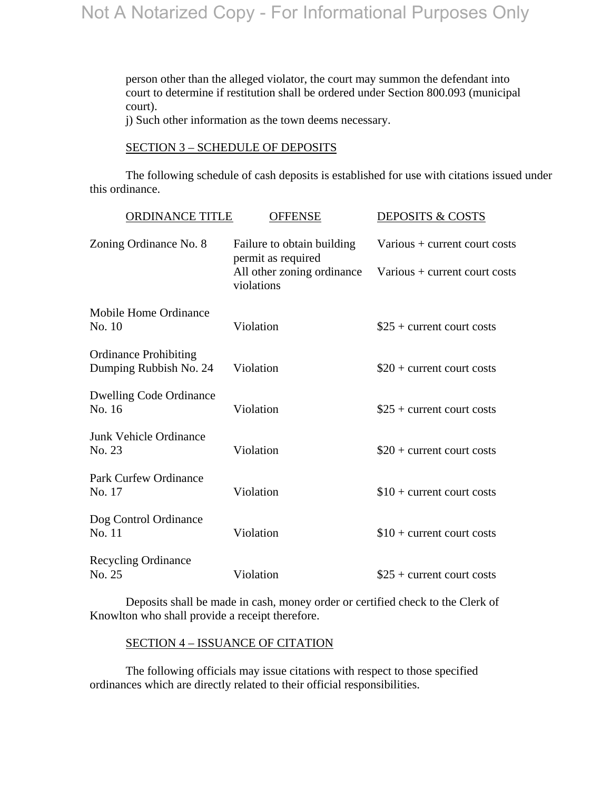person other than the alleged violator, the court may summon the defendant into court to determine if restitution shall be ordered under Section 800.093 (municipal court).

j) Such other information as the town deems necessary.

#### SECTION 3 – SCHEDULE OF DEPOSITS

 The following schedule of cash deposits is established for use with citations issued under this ordinance.

| ORDINANCE TITLE<br><b>OFFENSE</b>                      |                                                                                              | <b>DEPOSITS &amp; COSTS</b>                                    |
|--------------------------------------------------------|----------------------------------------------------------------------------------------------|----------------------------------------------------------------|
| Zoning Ordinance No. 8                                 | Failure to obtain building<br>permit as required<br>All other zoning ordinance<br>violations | Various + current court costs<br>Various + current court costs |
| Mobile Home Ordinance<br>No. 10                        | Violation                                                                                    | $$25 + current court costs$                                    |
| <b>Ordinance Prohibiting</b><br>Dumping Rubbish No. 24 | Violation                                                                                    | $$20 + current court costs$                                    |
| <b>Dwelling Code Ordinance</b><br>No. 16               | Violation                                                                                    | $\$25 +$ current court costs                                   |
| Junk Vehicle Ordinance<br>No. 23                       | Violation                                                                                    | $$20 + current court costs$                                    |
| <b>Park Curfew Ordinance</b><br>No. 17                 | Violation                                                                                    | $$10 + current court costs$                                    |
| Dog Control Ordinance<br>No. 11                        | Violation                                                                                    | $$10 + current court costs$                                    |
| <b>Recycling Ordinance</b><br>No. 25                   | Violation                                                                                    | $\$25$ + current court costs                                   |

 Deposits shall be made in cash, money order or certified check to the Clerk of Knowlton who shall provide a receipt therefore.

### SECTION 4 – ISSUANCE OF CITATION

 The following officials may issue citations with respect to those specified ordinances which are directly related to their official responsibilities.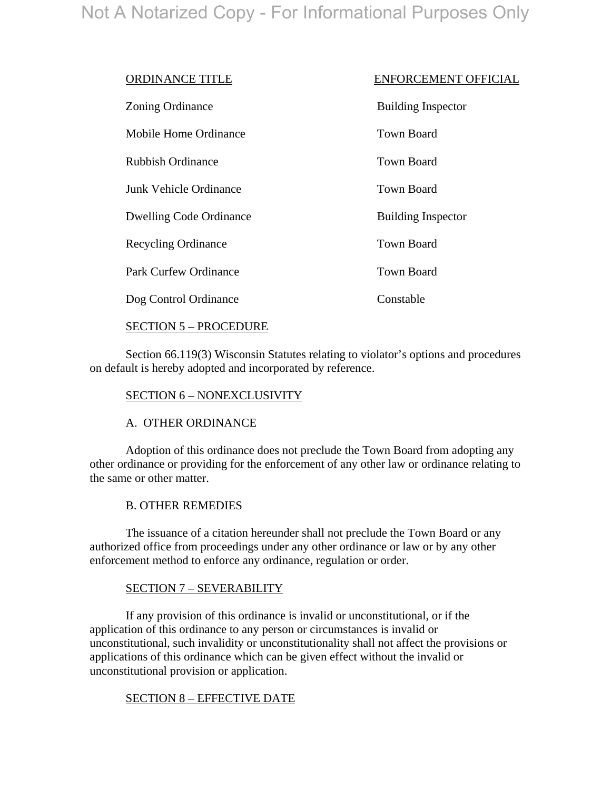| <b>ORDINANCE TITLE</b>         | <b>ENFORCEMENT OFFICIAL</b> |
|--------------------------------|-----------------------------|
| Zoning Ordinance               | <b>Building Inspector</b>   |
| Mobile Home Ordinance          | Town Board                  |
| <b>Rubbish Ordinance</b>       | <b>Town Board</b>           |
| Junk Vehicle Ordinance         | <b>Town Board</b>           |
| <b>Dwelling Code Ordinance</b> | <b>Building Inspector</b>   |
| <b>Recycling Ordinance</b>     | <b>Town Board</b>           |
| <b>Park Curfew Ordinance</b>   | <b>Town Board</b>           |
| Dog Control Ordinance          | Constable                   |

## SECTION 5 – PROCEDURE

 Section 66.119(3) Wisconsin Statutes relating to violator's options and procedures on default is hereby adopted and incorporated by reference.

# SECTION 6 – NONEXCLUSIVITY

## A. OTHER ORDINANCE

 Adoption of this ordinance does not preclude the Town Board from adopting any other ordinance or providing for the enforcement of any other law or ordinance relating to the same or other matter.

## B. OTHER REMEDIES

 The issuance of a citation hereunder shall not preclude the Town Board or any authorized office from proceedings under any other ordinance or law or by any other enforcement method to enforce any ordinance, regulation or order.

## SECTION 7 – SEVERABILITY

 If any provision of this ordinance is invalid or unconstitutional, or if the application of this ordinance to any person or circumstances is invalid or unconstitutional, such invalidity or unconstitutionality shall not affect the provisions or applications of this ordinance which can be given effect without the invalid or unconstitutional provision or application.

## SECTION 8 – EFFECTIVE DATE